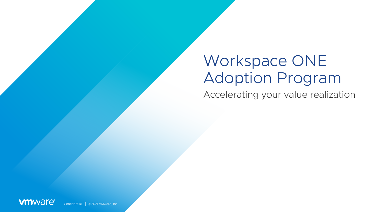# Workspace ONE Adoption Program

Accelerating your value realization

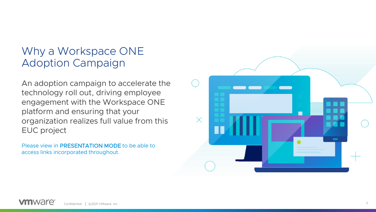## Why a Workspace ONE Adoption Campaign

An adoption campaign to accelerate the technology roll out, driving employee engagement with the Workspace ONE platform and ensuring that your organization realizes full value from this EUC project

Please view in PRESENTATION MODE to be able to access links incorporated throughout.

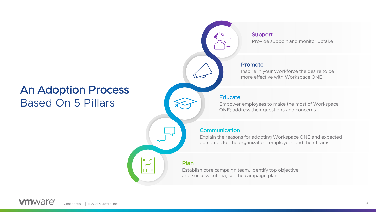### An Adoption Process Based On 5 Pillars

### Support

Provide support and monitor uptake

#### Promote

Inspire in your Workforce the desire to be more effective with Workspace ONE

#### **Educate**

Empower employees to make the most of Workspace ONE; address their questions and concerns

#### **Communication**

Explain the reasons for adopting Workspace ONE and expected outcomes for the organization, employees and their teams

#### Plan

Establish core campaign team, identify top objective and success criteria, set the campaign plan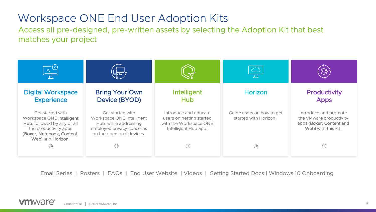### Workspace ONE End User Adoption Kits

Access all pre-designed, pre-written assets by selecting the Adoption Kit that best matches your project

| $\frac{1}{\sqrt{2}}$                                                                                                                                     | ᆊᄑ                                                                                                                               |                                                                                                     | 工                                                  |                                                                                                     |
|----------------------------------------------------------------------------------------------------------------------------------------------------------|----------------------------------------------------------------------------------------------------------------------------------|-----------------------------------------------------------------------------------------------------|----------------------------------------------------|-----------------------------------------------------------------------------------------------------|
| <b>Digital Workspace</b><br><b>Experience</b>                                                                                                            | <b>Bring Your Own</b><br>Device (BYOD)                                                                                           | Intelligent<br><b>Hub</b>                                                                           | <b>Horizon</b>                                     | <b>Productivity</b><br><b>Apps</b>                                                                  |
| Get started with<br>Workspace ONE Intelligent<br>Hub, followed by any or all<br>the productivity apps<br>(Boxer, Notebook, Content,<br>Web) and Horizon. | Get started with<br>Workspace ONE Intelligent<br>Hub while addressing<br>employee privacy concerns<br>on their personal devices. | Introduce and educate<br>users on getting started<br>with the Workspace ONE<br>Intelligent Hub app. | Guide users on how to get<br>started with Horizon. | Introduce and promote<br>the VMware productivity<br>apps (Boxer, Content and<br>Web) with this kit. |
| $\ominus$                                                                                                                                                | $\leftrightarrow$                                                                                                                | ⊝                                                                                                   | $\Theta$                                           | $\Theta$                                                                                            |

Email Series | Posters | FAQs | End User Website | Videos | Getting Started Docs | Windows 10 Onboarding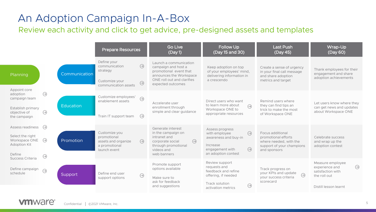# <span id="page-4-0"></span>An Adoption Campaign In-A-Box

Review each activity and click to get advice, pre-designed assets and templates

|                                                                                                            |                                   |                  | <b>Prepare Resources</b>                                                                                     | <b>Go Live</b><br>(Day 1)                                                                                                                             | Follow Up<br>(Day 15 and 30)                                                                                                           | <b>Last Push</b><br>(Day 45)                                                                                   | Wrap-Up<br>(Day 60)                                                                                           |
|------------------------------------------------------------------------------------------------------------|-----------------------------------|------------------|--------------------------------------------------------------------------------------------------------------|-------------------------------------------------------------------------------------------------------------------------------------------------------|----------------------------------------------------------------------------------------------------------------------------------------|----------------------------------------------------------------------------------------------------------------|---------------------------------------------------------------------------------------------------------------|
| Planning                                                                                                   |                                   | Communication    | Define your<br>$\bigodot$<br>communication<br>strategy<br>Customize your<br>$\Theta$<br>communication assets | Launch a communication<br>campaign and host a<br>promotional event that<br>announces the Workspace<br>ONE roll out and clarifies<br>expected outcomes | Keep adoption on top<br>of your employees' mind,<br>delivering information in<br>a crescendo                                           | Create a sense of urgency<br>in your final call message<br>and share adoption<br>metrics and target            | Thank employees for their<br>engagement and share<br>adoption achievements                                    |
| Appoint core<br>adoption<br>campaign team<br>Establish primary<br>objective of<br>the campaign             | $\Theta$<br>$\Theta$              | <b>Education</b> | Customize employees'<br>$\bigoplus$<br>enablement assets<br>$\Theta$<br>Train IT support team                | Accelerate user<br>enrollment through<br>simple and clear quidance                                                                                    | Direct users who want<br>to learn more about<br>$\bigodot$<br>Workspace ONE to<br>appropriate resources                                | Remind users where<br>they can find tips an<br>trick to make the most<br>of Workspace ONE                      | Let users know where they<br>can get news and updates<br>about Workspace ONE                                  |
| Assess readiness<br>Select the right<br>Workspace ONE<br><b>Adoption Kit</b><br>Define<br>Success Criteria | $\Theta$<br>$\ominus$<br>$\Theta$ | Promotion        | Customize you<br>promotional<br>$\Theta$<br>assets and organize<br>a promotional<br>launch event             | Generate interest<br>in the campaign on<br>intranet and<br>$\ominus$<br>corporate social<br>through promotional<br>videos and<br>web banners          | Assess progress<br>$\Theta$<br>with employee<br>awareness and buy-in<br>Increase<br>$\Theta$<br>engagement with<br>an adoption contest | Focus additional<br>promotional efforts<br>where needed, with the<br>support of your champions<br>and sponsors | Celebrate success<br>and wrap up the<br>adoption contest                                                      |
| Define campaign<br>schedule                                                                                | $\bigodot$                        | Support          | Define end user<br>$\Theta$<br>support options                                                               | Promote support<br>options available<br>Make sure to<br>ask for feedback<br>and suggestions                                                           | Review support<br>requests and<br>feedback and refine<br>offering, if needed<br>Track solution<br>$\bigodot$<br>activation metrics     | Track progress on<br>your KPIs and update<br>$\odot$<br>your success criteria<br>scorecard                     | Measure employee<br>$\ominus$<br>experience and<br>satisfaction with<br>the roll out<br>Distill lesson learnt |

#### **vm**ware<sup>®</sup>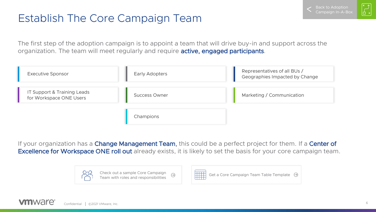# Establish The Core Campaign Team

The first step of the adoption campaign is to appoint a team that will drive buy-in and support across the organization. The team will meet regularly and require active, engaged participants.

| <b>Executive Sponsor</b>                               | <b>Early Adopters</b> | Representatives of all BUs /<br>Geographies Impacted by Change |  |
|--------------------------------------------------------|-----------------------|----------------------------------------------------------------|--|
| IT Support & Training Leads<br>for Workspace ONE Users | <b>Success Owner</b>  | Marketing / Communication                                      |  |
|                                                        | Champions             |                                                                |  |

If your organization has a **Change Management Team**, this could be a perfect project for them. If a **Center of Excellence for Workspace ONE roll out** already exists, it is likely to set the basis for your core campaign team.



#### **vm**ware Confidential │ ©2021 VMware, Inc. 6

Back to Adoption  $Cammain$  In- $A$ -Bo $\overline{a}$   $\begin{bmatrix} \ast & \ast \ \bot & \cdot \end{bmatrix}$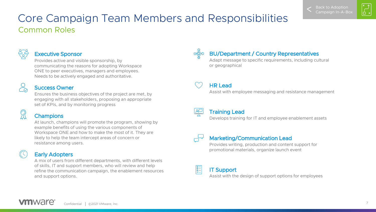# $\begin{bmatrix} \ast & \ast \ \cdot & \cdot \end{bmatrix}$

### <span id="page-6-0"></span>Common Roles Core Campaign Team Members and Responsibilities



#### Executive Sponsor

Provides active and visible sponsorship, by communicating the reasons for adopting Workspace ONE to peer executives, managers and employees. Needs to be actively engaged and authoritative.

#### Success Owner

Ensures the business objectives of the project are met, by engaging with all stakeholders, proposing an appropriate set of KPIs, and by monitoring progress

#### **Champions**

At launch, champions will promote the program, showing by example benefits of using the various components of Workspace ONE and how to make the most of it. They are likely to help the team intercept areas of concern or resistance among users.

#### Early Adopters

A mix of users from different departments, with different levels of skills, IT and support members, who will review and help refine the communication campaign, the enablement resources and support options.

 $\circledcirc$ 

#### BU/Department / Country Representatives

Adapt message to specific requirements, including cultural or geographical

HR Lead

Assist with employee messaging and resistance management



#### Training Lead

Develops training for IT and employee enablement assets



 $\frac{1}{200}$ 

#### Marketing/Communication Lead

Provides writing, production and content support for promotional materials, organize launch event

#### IT Support

Assist with the design of support options for employees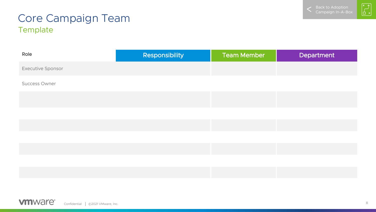

# $\begin{bmatrix} \mathbf{x} \\ \mathbf{y} \end{bmatrix}$

### <span id="page-7-0"></span>**Template** Core Campaign Team

| Role                     | Responsibility | <b>Team Member</b> | Department |
|--------------------------|----------------|--------------------|------------|
| <b>Executive Sponsor</b> |                |                    |            |
| <b>Success Owner</b>     |                |                    |            |
|                          |                |                    |            |
|                          |                |                    |            |
|                          |                |                    |            |
|                          |                |                    |            |
|                          |                |                    |            |
|                          |                |                    |            |
|                          |                |                    |            |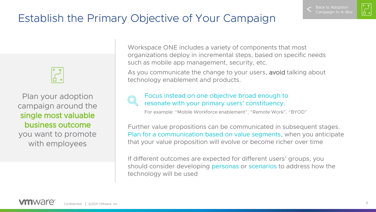$\begin{bmatrix} \ast & \ast \\ \vdots & \ast \end{bmatrix}$ 

# Establish the Primary Objective of Your Campaign

Plan your adoption campaign around the single most valuable business outcome you want to promote with employees

Workspace ONE includes a variety of components that most organizations deploy in incremental steps, based on specific needs such as mobile app management, security, etc.

As you communicate the change to your users, avoid talking about technology enablement and products.



Focus instead on one objective broad enough to resonate with your primary users' constituency.

For example: "Mobile Workforce enablement", "Remote Work", "BYOD"

Further value propositions can be communicated in subsequent stages. Plan for a communication based on value segments, when you anticipate that your value proposition will evolve or become richer over time

If different outcomes are expected for different users' groups, you should consider developing personas or scenarios to address how the technology will be used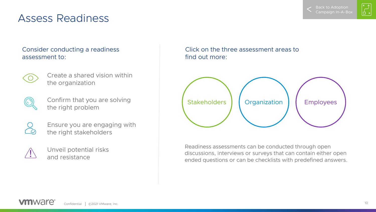

### Assess Readiness

#### Consider conducting a readiness assessment to:



Create a shared vision within the organization



Confirm that you are solving the right problem

Ensure you are engaging with the right stakeholders



Unveil potential risks and resistance

Click on the three assessment areas to find out more:



Readiness assessments can be conducted through open discussions, interviews or surveys that can contain either open ended questions or can be checklists with predefined answers.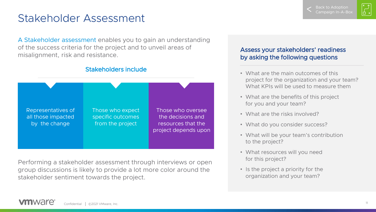$\begin{bmatrix} \ast & \ast \\ - & \ast \end{bmatrix}$ 

### <span id="page-10-0"></span>Stakeholder Assessment

A Stakeholder assessment enables you to gain an understanding of the success criteria for the project and to unveil areas of misalignment, risk and resistance.



#### Stakeholders include

Performing a stakeholder assessment through interviews or open group discussions is likely to provide a lot more color around the stakeholder sentiment towards the project.

#### OCCCC VOUS STRICH AND TO SELECT A by asking the following questions Assess your stakeholders' readiness

- What are the main outcomes of this project for the organization and your team? What KPIs will be used to measure them
- What are the benefits of this project for you and your team?
- What are the risks involved?
- What do you consider success?
- What will be your team's contribution to the project?
- What resources will you need for this project?
- Is the project a priority for the organization and your team?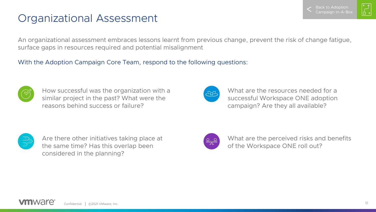$\begin{bmatrix} \ast & \ast \\ \vdots & \ast \end{bmatrix}$ 

# <span id="page-11-0"></span>Organizational Assessment

An organizational assessment embraces lessons learnt from previous change, prevent the risk of change fatigue, surface gaps in resources required and potential misalignment

#### With the Adoption Campaign Core Team, respond to the following questions:



How successful was the organization with a similar project in the past? What were the reasons behind success or failure?



What are the resources needed for a successful Workspace ONE adoption campaign? Are they all available?



Are there other initiatives taking place at the same time? Has this overlap been considered in the planning?



What are the perceived risks and benefits of the Workspace ONE roll out?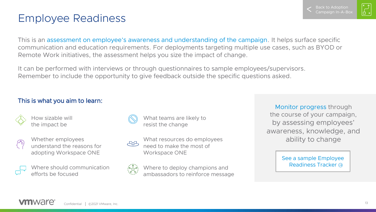│<br>│{

## <span id="page-12-0"></span>Employee Readiness

This is an assessment on employee's awareness and understanding of the campaign. It helps surface specific communication and education requirements. For deployments targeting multiple use cases, such as BYOD or Remote Work initiatives, the assessment helps you size the impact of change.

It can be performed with interviews or through questionnaires to sample employees/supervisors. Remember to include the opportunity to give feedback outside the specific questions asked.

### This is what you aim to learn:



How sizable will the impact be



Whether employees understand the reasons for adopting Workspace ONE



Where should communication efforts be focused



What teams are likely to resist the change



What resources do employees need to make the most of Workspace ONE



Where to deploy champions and ambassadors to reinforce message

Monitor progress through the course of your campaign, by assessing employees' awareness, knowledge, and ability to change

> [See a sample Employee](#page-13-0)  Readiness Tracker →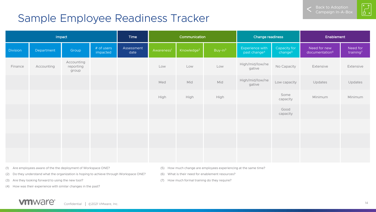$\begin{bmatrix} \times & \uparrow \\ \downarrow & \downarrow \\ \Box & \times \end{bmatrix}$ 

### <span id="page-13-0"></span>Sample Employee Readiness Tracker

|                 |            | Impact                           |                        | Time               | Communication          |                        | <b>Change readiness</b> |                                             | Enablement                          |                                            |                                   |
|-----------------|------------|----------------------------------|------------------------|--------------------|------------------------|------------------------|-------------------------|---------------------------------------------|-------------------------------------|--------------------------------------------|-----------------------------------|
| <b>Division</b> | Department | Group                            | # of users<br>impacted | Assessment<br>date | Awareness <sup>1</sup> | Knowledge <sup>2</sup> | Buy-in <sup>3</sup>     | Experience with<br>past change <sup>4</sup> | Capacity for<br>change <sup>5</sup> | Need for new<br>documentation <sup>6</sup> | Need for<br>training <sup>7</sup> |
| Finance         | Accounting | Accounting<br>reporting<br>group |                        |                    | Low                    | Low                    | Low                     | High/mid/low/ne<br>gative                   | No Capacity                         | Extensive                                  | Extensive                         |
|                 |            |                                  |                        |                    | Med                    | Mid                    | Mid                     | High/mid/low/ne<br>gative                   | Low capacity                        | Updates                                    | Updates                           |
|                 |            |                                  |                        |                    | High                   | High                   | High                    |                                             | Some<br>capacity                    | Minimum                                    | Minimum                           |
|                 |            |                                  |                        |                    |                        |                        |                         |                                             | Good<br>capacity                    |                                            |                                   |
|                 |            |                                  |                        |                    |                        |                        |                         |                                             |                                     |                                            |                                   |
|                 |            |                                  |                        |                    |                        |                        |                         |                                             |                                     |                                            |                                   |
|                 |            |                                  |                        |                    |                        |                        |                         |                                             |                                     |                                            |                                   |

(1) Are employees aware of the the deployment of Workspace ONE?

- (2) Do they understand what the organization is hoping to achieve through Workspace ONE?
- (3) Are they looking forward to using the new tool?
- (4) How was their experience with similar changes in the past?
- (5) How much change are employees experiencing at the same time?
- (6) What is their need for enablement resources?
- (7) How much formal training do they require?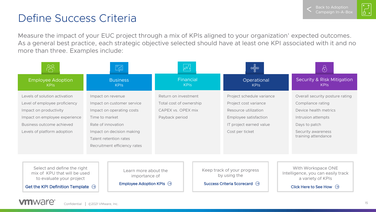$\begin{bmatrix} \times & \uparrow \\ \downarrow & \downarrow \\ \Box & \times \end{bmatrix}$ 

# Define Success Criteria

Measure the impact of your EUC project through a mix of KPIs aligned to your organization' expected outcomes. As a general best practice, each strategic objective selected should have at least one KPI associated with it and no more than three. Examples include:

|                                                                                                                                                                                       |                                                           | $\frac{1}{\sqrt{2}}$                                                                                           |                                                                                         |                          | $\circledcirc$                                                                                                                                    |  | $\langle \cdot \rangle$                                                                                                                                           |
|---------------------------------------------------------------------------------------------------------------------------------------------------------------------------------------|-----------------------------------------------------------|----------------------------------------------------------------------------------------------------------------|-----------------------------------------------------------------------------------------|--------------------------|---------------------------------------------------------------------------------------------------------------------------------------------------|--|-------------------------------------------------------------------------------------------------------------------------------------------------------------------|
| <b>Employee Adoption</b><br><b>KPIS</b>                                                                                                                                               |                                                           | <b>Business</b><br><b>KPIS</b>                                                                                 |                                                                                         | Financial<br><b>KPIS</b> | Operational<br><b>KPIS</b>                                                                                                                        |  | <b>Security &amp; Risk Mitigation</b><br><b>KPIS</b>                                                                                                              |
| Levels of solution activation<br>Level of employee proficiency<br>Impact on productivity<br>Impact on employee experience<br>Business outcome achieved<br>Levels of platform adoption | Impact on revenue<br>Time to market<br>Rate of innovation | Impact on customer service<br>Impact on operating costs<br>Impact on decision making<br>Talent retention rates | Return on investment<br>Total cost of ownership<br>CAPEX vs. OPEX mix<br>Payback period |                          | Project schedule variance<br>Project cost variance<br>Resource utilization<br>Employee satisfaction<br>IT project earned value<br>Cost per ticket |  | Overall security posture rating<br>Compliance rating<br>Device health metrics<br>Intrusion attempts<br>Days to patch<br>Security awareness<br>training attendance |
| Recruitment efficiency rates<br>Select and define the right<br>mix of KPU that will be used<br>to evaluate your project<br>Get the KPI Definition Template $\Theta$                   |                                                           | Learn more about the<br>importance of<br>Employee Adoption KPIs $\Theta$                                       |                                                                                         |                          | Keep track of your progress<br>by using the<br>Success Criteria Scorecard →                                                                       |  | With Workspace ONE<br>Intelligence, you can easily track<br>a variety of KPIs<br>Click Here to See How $\Theta$                                                   |

#### **vm**ware<sup>®</sup> Confidential │ ©2021 VMware, Inc. 15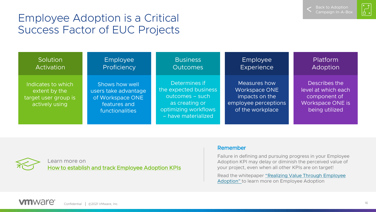Back to Adoption [Campaign In-A-Box](#page-6-0)



### <span id="page-15-0"></span>Employee Adoption is a Critical Success Factor of EUC Projects

**Solution** Activation

Indicates to which extent by the target user group is actively using

Employee **Proficiency** 

Shows how well users take advantage of Workspace ONE features and functionalities

**Business Outcomes** 

Determines if the expected business outcomes – such as creating or optimizing workflows – have materialized

Employee **Experience** 

Measures how Workspace ONE impacts on the employee perceptions of the workplace

Platform Adoption

Describes the level at which each component of Workspace ONE is being utilized

Learn more on [How to establish and track Employee Adoption KPIs](#page-16-0)

#### Remember

Failure in defining and pursuing progress in your Employee Adoption KPI may delay or diminish the perceived value of your project, even when all other KPIs are on target!

Read the whitepaper "Realizing Value Through Employee Adoption" [to learn more on Employee Adoption](https://www.vmware.com/content/dam/digitalmarketing/vmware/en/pdf/products/workspace-one/vmw-realizing-value-through-employee-adoption.pdf)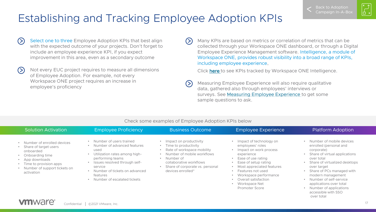$\sum_{i=1}^{k}$ 

# <span id="page-16-0"></span>Establishing and Tracking Employee Adoption KPIs

- $(>)$ Select one to three Employee Adoption KPIs that best align with the expected outcome of your projects. Don't forget to include an employee experience KPI, if you expect improvement in this area, even as a secondary outcome
- Not every EUC project requires to measure all dimensions  $(>)$ of Employee Adoption. For example, not every Workspace ONE project requires an increase in employee's proficiency

Many KPIs are based on metrics or correlation of metrics that can be collected through your Workspace ONE dashboard, or through a Digital Employee Experience Management software. Intelligence, a module of Workspace ONE, provides robust visibility into a broad range of KPIs, including employee experience.

Click [here](#page-18-0) to see KPIs tracked by Workspace ONE Intelligence.

Measuring Employee Experience will also require qualitative data, gathered also through employees' interviews or surveys. See [Measuring Employee Experience t](#page-17-0)o get some sample questions to ask.

| <b>Solution Activation</b>                                                                                                                                                           | <b>Employee Proficiency</b>                                                                                                                                                                                                                 | <b>Business Outcome</b>                                                                                                                                                                                                                           | Employee Experience                                                                                                                                                                                                                                                            | <b>Platform Adoption</b>                                                                                                                                                                                                                                                                                                                |
|--------------------------------------------------------------------------------------------------------------------------------------------------------------------------------------|---------------------------------------------------------------------------------------------------------------------------------------------------------------------------------------------------------------------------------------------|---------------------------------------------------------------------------------------------------------------------------------------------------------------------------------------------------------------------------------------------------|--------------------------------------------------------------------------------------------------------------------------------------------------------------------------------------------------------------------------------------------------------------------------------|-----------------------------------------------------------------------------------------------------------------------------------------------------------------------------------------------------------------------------------------------------------------------------------------------------------------------------------------|
| • Number of enrolled devices<br>• Share of target users<br>onboarded<br>Onboarding time<br>App downloads<br>• Time to provision apps<br>• Number of support tickets on<br>activation | Number of users trained<br>Number of advanced features<br>used<br>Utilization rates among high-<br>performing teams<br>Issues resolved through self-<br>service<br>Number of tickets on advanced<br>features<br>Number of escalated tickets | Impact on productivity<br>Time to productivity<br>$\bullet$<br>Rate of workspace mobility<br>Number of mobile workflows<br>$\bullet$<br>Number of<br>$\bullet$<br>collaborative workflows<br>Share of corporate vs. personal<br>devices enrolled* | Impact of technology on<br>employees' roles<br>Impact on work process<br>experience<br>Ease of use rating<br>Ease of setup rating<br>Most appreciated features<br>Features not used<br>Workspace performance<br>Overall satisfaction<br>Workspace Net<br><b>Promoter Score</b> | Number of mobile devices<br>enrolled (personal and<br>corporate)<br>Share of virtual applications<br>over total<br>Share of virtualized desktops<br>over target<br>Share of PCs managed with<br>modern management<br>• Number of self-service<br>applications over total<br>Number of applications<br>accessible with SSO<br>over total |

#### Check some examples of Employee Adoption KPIs below

 $(>)$ 

 $\circ$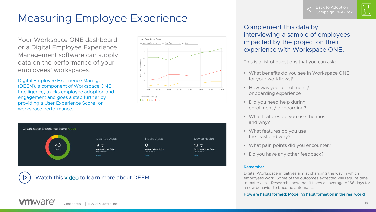ب<br>|-<br>| <del>ا</del>

# <span id="page-17-0"></span>Measuring Employee Experience

Your Workspace ONE dashboard or a Digital Employee Experience Management software can supply data on the performance of your employees' workspaces.

Digital Employee Experience Manager (DEEM), a component of Workspace ONE Intelligence, tracks employee adoption and engagement and goes a step further by providing a User Experience Score, on workspace performance.





Watch this [video](https://www.youtube.com/watch?v=j9Q0310akA4&t=45s) to learn more about DEEM

Complement this data by interviewing a sample of employees impacted by the project on their experience with Workspace ONE.

This is a list of questions that you can ask:

- What benefits do you see in Workspace ONE for your workflows?
- How was your enrollment / onboarding experience?
- Did you need help during enrollment / onboarding?
- What features do you use the most and why?
- What features do you use the least and why?
- What pain points did you encounter?
- Do you have any other feedback?

#### Remember

Digital Workspace initiatives aim at changing the way in which employees work. Some of the outcomes expected will require time to materialize. Research show that it takes an average of 66 days for a new behavior to become automatic.

[How are habits formed: Modeling habit formation in the real world](https://onlinelibrary.wiley.com/doi/abs/10.1002/ejsp.674)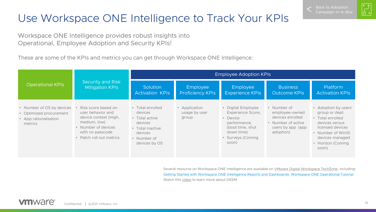# $\begin{bmatrix} \ast & \ast \\ \vdots & \ast \end{bmatrix}$

# <span id="page-18-0"></span>Use Workspace ONE Intelligence to Track Your KPIs

Workspace ONE Intelligence provides robust insights into Operational, Employee Adoption and Security KPIs!

These are some of the KPIs and metrics you can get through Workspace ONE Intelligence:

|                                                                                          |                                                                                                                                                          | <b>Employee Adoption KPIs</b>                                                                                           |                                         |                                                                                                                                                 |                                                                                                           |                                                                                                                                                                                   |  |  |
|------------------------------------------------------------------------------------------|----------------------------------------------------------------------------------------------------------------------------------------------------------|-------------------------------------------------------------------------------------------------------------------------|-----------------------------------------|-------------------------------------------------------------------------------------------------------------------------------------------------|-----------------------------------------------------------------------------------------------------------|-----------------------------------------------------------------------------------------------------------------------------------------------------------------------------------|--|--|
| <b>Operational KPIs</b>                                                                  | Security and Risk<br><b>Mitigation KPIs</b>                                                                                                              | Solution<br><b>Activation KPIs</b>                                                                                      | Employee<br><b>Proficiency KPIs</b>     | Employee<br><b>Experience KPIs</b>                                                                                                              | <b>Business</b><br><b>Outcome KPIs</b>                                                                    | Platform<br><b>Activation KPIs</b>                                                                                                                                                |  |  |
| • Number of OS by devices<br>• Optimized procurement<br>• App rationalization<br>metrics | Risk score based on<br>user behavior and<br>device context (High,<br>medium, low)<br>• Number of devices<br>with no passcode<br>• Patch roll out metrics | • Total enrolled<br>devices<br>• Total active<br>devices<br>• Total inactive<br>devices<br>• Number of<br>devices by OS | • Application<br>usage by user<br>group | • Digital Employee<br>Experience Score,<br>Device<br>$\bullet$<br>performance,<br>(boot time, shut)<br>down time)<br>• Surveys (Coming<br>soon) | • Number of<br>employee-owned<br>devices enrolled<br>• Number of active<br>users by app (app<br>adoption) | Adoption by users'<br>$\bullet$<br>group or dept.<br>• Total enrolled<br>devices versus<br>licensed devices<br>• Number of Win10<br>devices managed<br>• Horizon (Coming<br>soon) |  |  |

Several resource on Workspace ONE Intelligence are available on [VMware Digital Workspace TechZone,](https://techzone.vmware.com/) including: [Getting Started with Workspace ONE Intelligence Reports and Dashboards: Workspace ONE Operational Tutorial](https://techzone.vmware.com/getting-started-workspace-one-intelligence-reports-and-dashboards-workspace-one-operational) Watch this [video](https://www.youtube.com/watch?v=j9Q0310akA4&t=45s) to learn more about DEEM.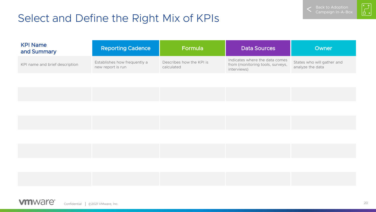# <span id="page-19-0"></span>Select and Define the Right Mix of KPIs



| <b>KPI Name</b><br>and Summary | <b>Reporting Cadence</b>                          | Formula                                | <b>Data Sources</b>                                                               | Owner                                          |
|--------------------------------|---------------------------------------------------|----------------------------------------|-----------------------------------------------------------------------------------|------------------------------------------------|
| KPI name and brief description | Establishes how frequently a<br>new report is run | Describes how the KPI is<br>calculated | Indicates where the data comes<br>from (monitoring tools, surveys,<br>interviews) | States who will gather and<br>analyze the data |

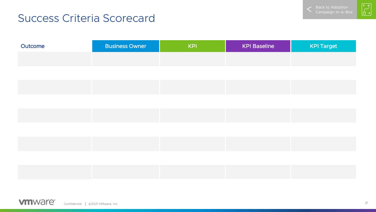

 $\begin{bmatrix} \mathbf{x} \\ \mathbf{y} \\ \mathbf{y} \end{bmatrix}$ 

## <span id="page-20-0"></span>Success Criteria Scorecard

| Outcome | <b>Business Owner</b> | <b>KPI</b> | <b>KPI Baseline</b> | <b>KPI Target</b> |
|---------|-----------------------|------------|---------------------|-------------------|
|         |                       |            |                     |                   |
|         |                       |            |                     |                   |
|         |                       |            |                     |                   |

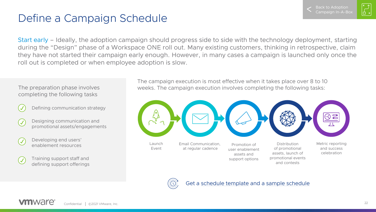

 $\begin{bmatrix} \ast & \mathbb{J} \ \mathbb{L} & \mathbb{J} \end{bmatrix}$ 

# Define a Campaign Schedule

Start early – Ideally, the adoption campaign should progress side to side with the technology deployment, starting during the "Design" phase of a Workspace ONE roll out. Many existing customers, thinking in retrospective, claim they have not started their campaign early enough. However, in many cases a campaign is launched only once the roll out is completed or when employee adoption is slow.

The preparation phase involves completing the following tasks

Defining communication strategy

- 
- Designing communication and promotional assets/engagements
- Developing end users' enablement resources
- Training support staff and defining support offerings

The campaign execution is most effective when it takes place over 8 to 10 weeks. The campaign execution involves completing the following tasks:



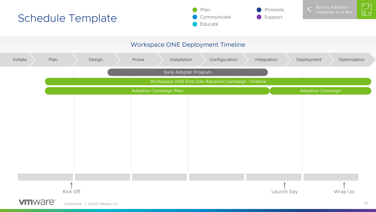<span id="page-22-0"></span>







 $\begin{bmatrix} \mathbf{x} \\ \mathbf{y} \end{bmatrix}$ 

#### Workspace ONE Deployment Timeline

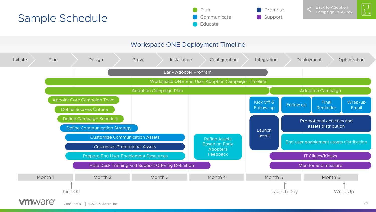<span id="page-23-0"></span>





Back to Adoption [Campaign In-A-Box](#page-4-0)



#### Workspace ONE Deployment Timeline

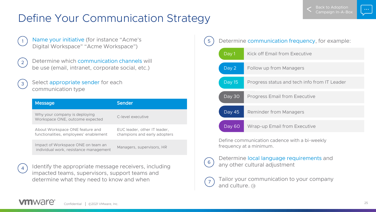# Define Your Communication Strategy

- Name your initiative (for instance "Acme's Digital Workspace" "Acme Workspace")
- 2

3

1

- Determine which communication channels will be use (email, intranet, corporate social, etc.)
- Select appropriate sender for each communication type

| <b>Message</b>                                                               | Sender                                                       |
|------------------------------------------------------------------------------|--------------------------------------------------------------|
| Why your company is deploying<br>Workspace ONE, outcome expected             | C-level executive                                            |
| About Workspace ONE feature and<br>functionalities, employees' enablement    | EUC leader, other IT leader,<br>champions and early adopters |
| Impact of Workspace ONE on team an<br>individual work, resistance management | Managers, supervisors, HR                                    |



Identify the appropriate message receivers, including impacted teams, supervisors, support teams and determine what they need to know and when





Determine local language requirements and  $\begin{pmatrix} 6 \end{pmatrix}$  any other cultural adjustment

7 Tailor your communication to your company andculture.  $\Theta$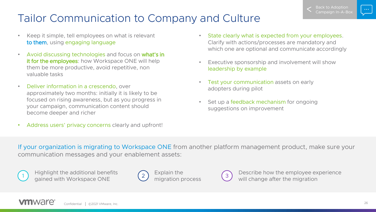# <span id="page-25-0"></span>Tailor Communication to Company and Culture

- Keep it simple, tell employees on what is relevant to them, using engaging language
- Avoid discussing technologies and focus on what's in it for the employees: how Workspace ONE will help them be more productive, avoid repetitive, non valuable tasks
- Deliver information in a crescendo, over approximately two months: initially it is likely to be focused on rising awareness, but as you progress in your campaign, communication content should become deeper and richer
- Address users' privacy concerns clearly and upfront!
- State clearly what is expected from your employees. Clarify with actions/processes are mandatory and which one are optional and communicate accordingly
- Executive sponsorship and involvement will show leadership by example
- Test your communication assets on early adopters during pilot
- Set up a feedback mechanism for ongoing suggestions on improvement

If your organization is migrating to Workspace ONE from another platform management product, make sure your communication messages and your enablement assets:



Highlight the additional benefits gained with Workspace ONE <sup>2</sup>





Describe how the employee experience will change after the migration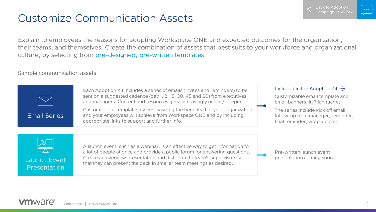### Customize Communication Assets

Explain to employees the reasons for adopting Workspace ONE and expected outcomes for the organization, their teams, and themselves. Create the combination of assets that best suits to your workforce and organizational culture, by selecting from pre-designed, pre-written templates!

Sample communication assets:



Back to Adoption  $\cap$ ampaign In-A-Bo $\cap$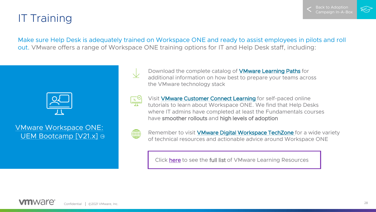

# <span id="page-27-0"></span>IT Training

Make sure Help Desk is adequately trained on Workspace ONE and ready to assist employees in pilots and roll out. VMware offers a range of Workspace ONE training options for IT and Help Desk staff, including:



### [VMware Workspace ONE:](https://mylearn.vmware.com/mgrReg/courses.cfm?ui=www_edu&a=one&id_subject=95719)  UEM Bootcamp [V21.x] ⊕

Download the complete catalog of [VMware Learning Paths](https://www.vmware.com/content/dam/digitalmarketing/vmware/en/pdf/company/vmware-learning-paths-v3.pdf#page=16) for additional information on how best to prepare your teams across the VMware technology stack



Visit [VMware Customer Connect Learning](https://www.vmware.com/learning/connect-learning.html) for self-paced online tutorials to learn about Workspace ONE. We find that Help Desks where IT admins have completed at least the Fundamentals courses have smoother rollouts and high levels of adoption



Remember to visit **VMware Digital Workspace TechZone** for a wide variety of technical resources and actionable advice around Workspace ONE

Click [here](#page-28-0) to see the full list of VMware Learning Resources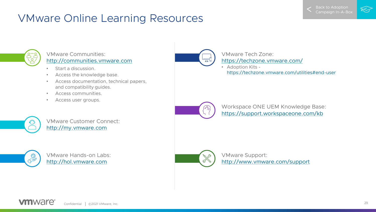# <span id="page-28-0"></span>VMware Online Learning Resources





#### VMware Communities: [http://communities.vmware.com](http://communities.vmware.com/)

- Start a discussion.
- Access the knowledge base.
- Access documentation, technical papers, and compatibility guides.
- Access communities.
- Access user groups.



VMware Customer Connect: [http://my.vmware.com](http://my.vmware.com/)



VMware Hands-on Labs: [http://hol.vmware.com](http://hol.vmware.com/)



#### VMware Tech Zone: <https://techzone.vmware.com/>

• Adoption Kits <https://techzone.vmware.com/utilities#end-user>



Workspace ONE UEM Knowledge Base: [https://support.workspaceone.com/kb](https://support.workspaceone.com/kb?sort=newest)



VMware Support: <http://www.vmware.com/support>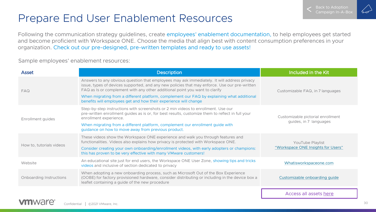### <span id="page-29-0"></span>Prepare End User Enablement Resources

Following the communication strategy guidelines, create employees' enablement documentation, to help employees get started and become proficient with Workspace ONE. Choose the media that align best with content consumption preferences in your organization. Check out our pre-designed, pre-written templates and ready to use assets!

Sample employees' enablement resources:

| <b>Asset</b>             | <b>Description</b>                                                                                                                                                                                                                                                                                                                                                                                                                            | Included in the Kit                                         |
|--------------------------|-----------------------------------------------------------------------------------------------------------------------------------------------------------------------------------------------------------------------------------------------------------------------------------------------------------------------------------------------------------------------------------------------------------------------------------------------|-------------------------------------------------------------|
| FAO                      | Answers to any obvious question that employees may ask immediately. It will address privacy<br>issue, types of devices supported, and any new policies that may enforce. Use our pre-written<br>FAQ as Is or complement with any other additional point you want to clarify<br>When migrating from a different platform, complement our FAQ by explaining what additional<br>benefits will employees get and how their experience will change | Customizable FAQ, in 7 languages                            |
| Enrollment guides        | Step-by-step instructions with screenshots or 2 min videos to enrollment. Use our<br>pre-written enrollment guides as is or, for best results, customize them to reflect in full your<br>enrollment experience.<br>When migrating from a different platform, complement our enrollment guide with<br>guidance on how to move away from previous product.                                                                                      | Customizable pictorial enrollment<br>guides, in 7 languages |
| How to, tutorials videos | These videos show the Workspace ONE experience and walk you through features and<br>functionalities. Videos also explains how privacy is protected with Workspace ONE.<br>Consider creating your own onboarding/enrollment videos, with early adopters or champions:<br>this has proven to be very effective with many VMware customers!                                                                                                      | YouTube Playlist<br>"Workspace ONE Insights for Users"      |
| Website                  | An educational site just for end users, the Workspace ONE User Zone, showing tips and tricks<br>videos and inclusive of section dedicated to privacy                                                                                                                                                                                                                                                                                          | Whatisworkspaceone.com                                      |
| Onboarding Instructions  | When adopting a new onboarding process, such as Microsoft Out of the Box Experience<br>(OOBE) for factory provisioned hardware, consider distributing or including in the device box a<br>leaflet containing a guide of the new procedure                                                                                                                                                                                                     | Customizable onboarding guide                               |
|                          |                                                                                                                                                                                                                                                                                                                                                                                                                                               |                                                             |

Access all assets [here](https://kb.vmware.com/s/article/2960852)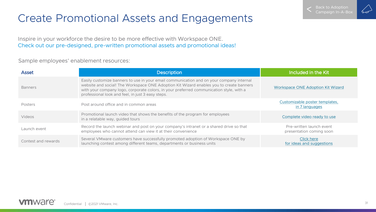# Create Promotional Assets and Engagements

Inspire in your workforce the desire to be more effective with Workspace ONE. Check out our pre-designed, pre-written promotional assets and promotional ideas!

Sample employees' enablement resources:

| <b>Asset</b>        | <b>Description</b>                                                                                                                                                                                                                                                                                                                  | Included in the Kit                                  |
|---------------------|-------------------------------------------------------------------------------------------------------------------------------------------------------------------------------------------------------------------------------------------------------------------------------------------------------------------------------------|------------------------------------------------------|
| <b>Banners</b>      | Easily customize banners to use in your email communication and on your company internal<br>website and social! The Workspace ONE Adoption Kit Wizard enables you to create banners<br>with your company logo, corporate colors, in your preferred communication style, with a<br>professional look and feel, in just 3 easy steps. | Workspace ONE Adoption Kit Wizard                    |
| Posters             | Post around office and in common areas                                                                                                                                                                                                                                                                                              | Customizable poster templates,<br>in 7 languages     |
| Videos              | Promotional launch video that shows the benefits of the program for employees<br>in a relatable way, guided tours                                                                                                                                                                                                                   | Complete video ready to use                          |
| Launch event        | Record the launch webinar and post on your company's intranet or a shared drive so that<br>employees who cannot attend can view it at their convenience                                                                                                                                                                             | Pre-written launch event<br>presentation coming soon |
| Contest and rewards | Several VMware customers have successfully promoted adoption of Workspace ONE by<br>launching contest among different teams, departments or business units                                                                                                                                                                          | Click here<br>for ideas and suggestions              |

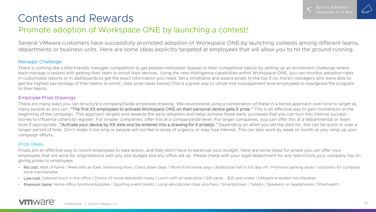### <span id="page-31-0"></span>Contests and Rewards

### Promote adoption of Workspace ONE by launching a contest!

Several VMware customers have successfully promoted adoption of Workspace ONE by launching contests among different teams, departments or business units. Here are some ideas explicitly targeted at employees that will allow you to hit the ground running.

#### Manager Challenge

There is nothing like a little friendly manager competition to get people motivated! Appeal to their competitive nature by setting up an enrollment challenge where each manage is tasked with getting their team to enroll their devices. Using the new Intelligence capabilities within Workspace ONE, you can monitor adoption rates in customized reports or in dashboards to get the exact information you need. Set a timeframe and award prizes to the top 3 (or more!) managers who were able to get the highest percentage of their teams to enroll. (See prize ideas below) This is a great way to utilize mid-management level employees to evangelize the program to their teams.

#### Employee Prize Drawings

There are many ways you can structure a company0wide employee drawing. We recommend using a combination of these in a tiered approach over time to target as many people as you can. "The first XX employees to activate Workspace ONE on their personal device gets X prize." This is an effective way to gain momentum at the beginning of the campaign. This approach targets and rewards the early adopters and helps achieve those early successes that you can turn into internal success stories to influence others to register. For smaller companies, offer this at a companywide level. For larger companies, you can offer this at a departmental or team level if appropriate. "Activate your device by XX date and be entered into a drawing for X prize(s)." Depending on when you set the date for, this can be quick or over a longer period of time. Don't make it too long or people will not feel a sense of urgency or may lose interest. This can also work by week or month as you ramp up your campaign efforts.

#### Prize Ideas

Prizes are an effective way to incent employees to take action, and they don't have to bankrupt your budget. Here are some ideas for prizes you can offer your employees that will work for organizations with any size budget and any office set up. Please check with your legal department for any restrictions your company has on giving prizes to employees

- No cost: Wall of Fame | Meet with an Exec mentoring time | Dress down days | Work from home days | Additional half or full day off | Premium parking spots | Vouchers for company store merchandise
- Low cost: Catered lunch in the office I Choice of home delivered meals I Lunch with an executive I Gift cards \$25 and under I VMware branded merchandise
- **Premium Items:** Home office furniture/supplies | Sporting event tickets | Local educational class vouchers | Smartphones | Tablets | Speakers or headphones | Smartwatch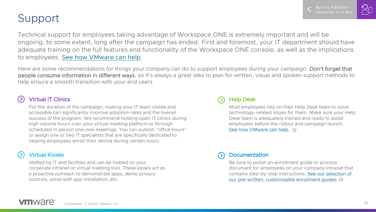### Support

Technical support for employees taking advantage of Workspace ONE is extremely important and will be ongoing, to some extent, long after the campaign has ended. First and foremost, your IT department should have adequate training on the full features and functionality of the Workspace ONE console, as well as the implications to employees. [See how VMware can help](#page-27-0).

Here are some recommendations for things your company can do to support employees during your campaign. Don't forget that people consume information in different ways, so it's always a great idea to plan for written, visual and spoken support methods to help ensure a smooth transition with your end users

#### Virtual IT Clinics

For the duration of the campaign, making your IT team visible and accessible can significantly improve adoption rates and the overall success of the program. We recommend holding open IT clinics during high volume hours over your virtual meeting platform or through scheduled in person one-one meetings. You can publish "office hours" or assign one or two IT specialists that are specifically dedicated to helping employees enroll their device during certain hours

### Virtual Kiosks

Staffed by IT and facilities and can be hosted on your corporate intranet or virtual meeting tool. These kiosks act as a proactive outreach to demonstrate apps, demo privacy controls, assist with app installation, etc.

#### Help Desk

Most employees rely on their Help Desk team to solve technology-related issues for them. Make sure your Help Desk team is adequately trained and ready to assist employees before the rollout and campaign launch. [See how VMware can help.](#page-27-0)  $\Theta$ 

#### Documentation

Be sure to polish an enrollment guide or process document for employees on your company intranet that [contains step-by-step instructions. See our selection of](#page-29-0)  our pre-written, customizable enrollment quides  $\Theta$